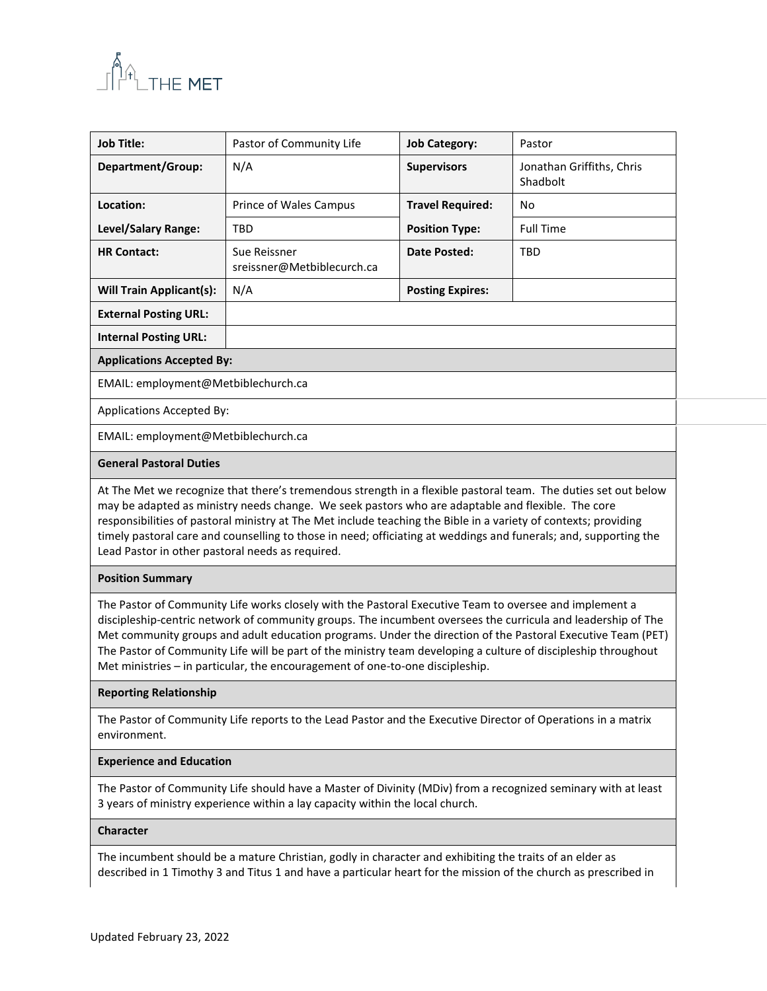

| <b>Job Title:</b>                                                                                                                                                                                                                                                                                                                                                                                                                                                                                                                        | Pastor of Community Life                   | <b>Job Category:</b>    | Pastor                                |  |
|------------------------------------------------------------------------------------------------------------------------------------------------------------------------------------------------------------------------------------------------------------------------------------------------------------------------------------------------------------------------------------------------------------------------------------------------------------------------------------------------------------------------------------------|--------------------------------------------|-------------------------|---------------------------------------|--|
| Department/Group:                                                                                                                                                                                                                                                                                                                                                                                                                                                                                                                        | N/A                                        | <b>Supervisors</b>      | Jonathan Griffiths, Chris<br>Shadbolt |  |
| Location:                                                                                                                                                                                                                                                                                                                                                                                                                                                                                                                                | Prince of Wales Campus                     | <b>Travel Required:</b> | No                                    |  |
| Level/Salary Range:                                                                                                                                                                                                                                                                                                                                                                                                                                                                                                                      | <b>TBD</b>                                 | <b>Position Type:</b>   | <b>Full Time</b>                      |  |
| <b>HR Contact:</b>                                                                                                                                                                                                                                                                                                                                                                                                                                                                                                                       | Sue Reissner<br>sreissner@Metbiblecurch.ca | <b>Date Posted:</b>     | <b>TBD</b>                            |  |
| <b>Will Train Applicant(s):</b>                                                                                                                                                                                                                                                                                                                                                                                                                                                                                                          | N/A                                        | <b>Posting Expires:</b> |                                       |  |
| <b>External Posting URL:</b>                                                                                                                                                                                                                                                                                                                                                                                                                                                                                                             |                                            |                         |                                       |  |
| <b>Internal Posting URL:</b>                                                                                                                                                                                                                                                                                                                                                                                                                                                                                                             |                                            |                         |                                       |  |
| <b>Applications Accepted By:</b>                                                                                                                                                                                                                                                                                                                                                                                                                                                                                                         |                                            |                         |                                       |  |
| EMAIL: employment@Metbiblechurch.ca                                                                                                                                                                                                                                                                                                                                                                                                                                                                                                      |                                            |                         |                                       |  |
| Applications Accepted By:                                                                                                                                                                                                                                                                                                                                                                                                                                                                                                                |                                            |                         |                                       |  |
| EMAIL: employment@Metbiblechurch.ca                                                                                                                                                                                                                                                                                                                                                                                                                                                                                                      |                                            |                         |                                       |  |
| <b>General Pastoral Duties</b>                                                                                                                                                                                                                                                                                                                                                                                                                                                                                                           |                                            |                         |                                       |  |
| At The Met we recognize that there's tremendous strength in a flexible pastoral team. The duties set out below<br>may be adapted as ministry needs change. We seek pastors who are adaptable and flexible. The core<br>responsibilities of pastoral ministry at The Met include teaching the Bible in a variety of contexts; providing<br>timely pastoral care and counselling to those in need; officiating at weddings and funerals; and, supporting the<br>Lead Pastor in other pastoral needs as required.                           |                                            |                         |                                       |  |
| <b>Position Summary</b>                                                                                                                                                                                                                                                                                                                                                                                                                                                                                                                  |                                            |                         |                                       |  |
| The Pastor of Community Life works closely with the Pastoral Executive Team to oversee and implement a<br>discipleship-centric network of community groups. The incumbent oversees the curricula and leadership of The<br>Met community groups and adult education programs. Under the direction of the Pastoral Executive Team (PET)<br>The Pastor of Community Life will be part of the ministry team developing a culture of discipleship throughout<br>Met ministries - in particular, the encouragement of one-to-one discipleship. |                                            |                         |                                       |  |
|                                                                                                                                                                                                                                                                                                                                                                                                                                                                                                                                          |                                            |                         |                                       |  |

### **Reporting Relationship**

The Pastor of Community Life reports to the Lead Pastor and the Executive Director of Operations in a matrix environment.

## **Experience and Education**

The Pastor of Community Life should have a Master of Divinity (MDiv) from a recognized seminary with at least 3 years of ministry experience within a lay capacity within the local church.

## **Character**

The incumbent should be a mature Christian, godly in character and exhibiting the traits of an elder as described in 1 Timothy 3 and Titus 1 and have a particular heart for the mission of the church as prescribed in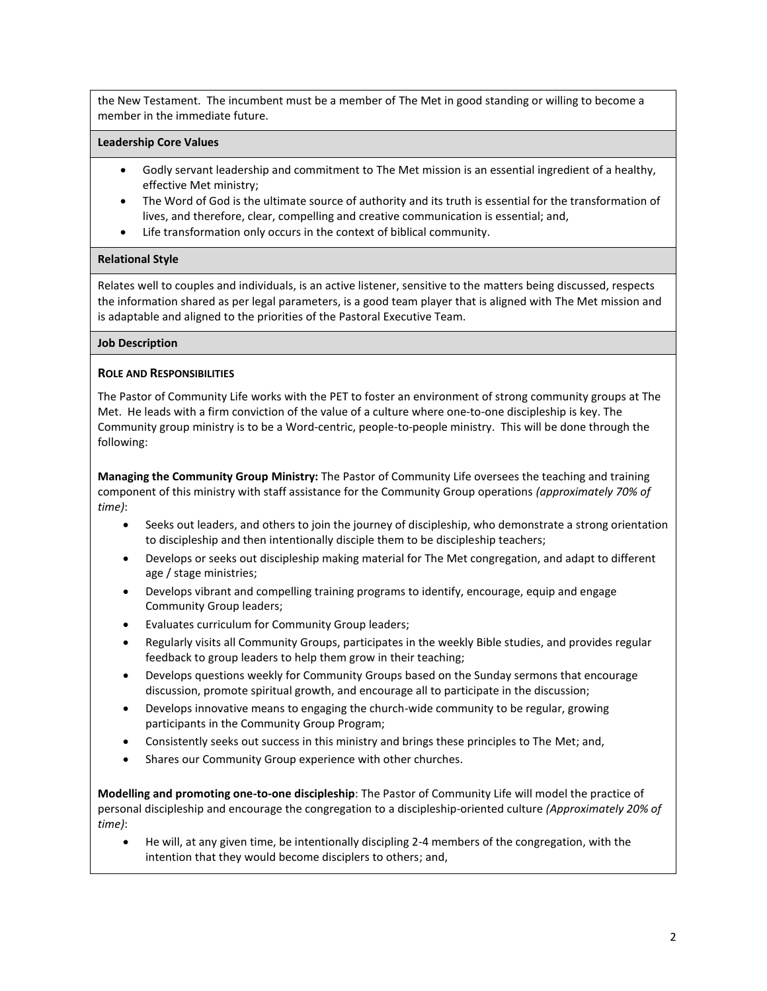the New Testament. The incumbent must be a member of The Met in good standing or willing to become a member in the immediate future.

#### **Leadership Core Values**

- Godly servant leadership and commitment to The Met mission is an essential ingredient of a healthy, effective Met ministry;
- The Word of God is the ultimate source of authority and its truth is essential for the transformation of lives, and therefore, clear, compelling and creative communication is essential; and,
- Life transformation only occurs in the context of biblical community.

#### **Relational Style**

Relates well to couples and individuals, is an active listener, sensitive to the matters being discussed, respects the information shared as per legal parameters, is a good team player that is aligned with The Met mission and is adaptable and aligned to the priorities of the Pastoral Executive Team.

## **Job Description**

#### **ROLE AND RESPONSIBILITIES**

The Pastor of Community Life works with the PET to foster an environment of strong community groups at The Met. He leads with a firm conviction of the value of a culture where one-to-one discipleship is key. The Community group ministry is to be a Word-centric, people-to-people ministry. This will be done through the following:

**Managing the Community Group Ministry:** The Pastor of Community Life oversees the teaching and training component of this ministry with staff assistance for the Community Group operations *(approximately 70% of time)*:

- Seeks out leaders, and others to join the journey of discipleship, who demonstrate a strong orientation to discipleship and then intentionally disciple them to be discipleship teachers;
- Develops or seeks out discipleship making material for The Met congregation, and adapt to different age / stage ministries;
- Develops vibrant and compelling training programs to identify, encourage, equip and engage Community Group leaders;
- Evaluates curriculum for Community Group leaders;
- Regularly visits all Community Groups, participates in the weekly Bible studies, and provides regular feedback to group leaders to help them grow in their teaching;
- Develops questions weekly for Community Groups based on the Sunday sermons that encourage discussion, promote spiritual growth, and encourage all to participate in the discussion;
- Develops innovative means to engaging the church-wide community to be regular, growing participants in the Community Group Program;
- Consistently seeks out success in this ministry and brings these principles to The Met; and,
- Shares our Community Group experience with other churches.

**Modelling and promoting one-to-one discipleship**: The Pastor of Community Life will model the practice of personal discipleship and encourage the congregation to a discipleship-oriented culture *(Approximately 20% of time)*:

• He will, at any given time, be intentionally discipling 2-4 members of the congregation, with the intention that they would become disciplers to others; and,